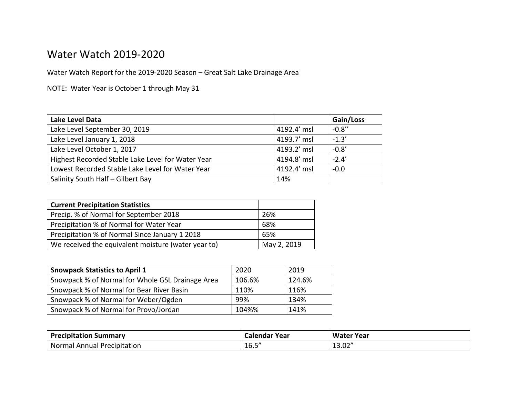## Water Watch 2019-2020

Water Watch Report for the 2019-2020 Season – Great Salt Lake Drainage Area

NOTE: Water Year is October 1 through May 31

| Lake Level Data                                   |             | Gain/Loss |
|---------------------------------------------------|-------------|-----------|
| Lake Level September 30, 2019                     | 4192.4' msl | $-0.8''$  |
| Lake Level January 1, 2018                        | 4193.7' msl | $-1.3'$   |
| Lake Level October 1, 2017                        | 4193.2' msl | $-0.8'$   |
| Highest Recorded Stable Lake Level for Water Year | 4194.8' msl | $-2.4'$   |
| Lowest Recorded Stable Lake Level for Water Year  | 4192.4' msl | $-0.0$    |
| Salinity South Half - Gilbert Bay                 | 14%         |           |

| <b>Current Precipitation Statistics</b>             |             |
|-----------------------------------------------------|-------------|
| Precip. % of Normal for September 2018              | 26%         |
| Precipitation % of Normal for Water Year            | 68%         |
| Precipitation % of Normal Since January 1 2018      | 65%         |
| We received the equivalent moisture (water year to) | May 2, 2019 |

| <b>Snowpack Statistics to April 1</b>            | 2020   | 2019   |
|--------------------------------------------------|--------|--------|
| Snowpack % of Normal for Whole GSL Drainage Area | 106.6% | 124.6% |
| Snowpack % of Normal for Bear River Basin        | 110%   | 116%   |
| Snowpack % of Normal for Weber/Ogden             | 99%    | 134%   |
| Snowpack % of Normal for Provo/Jordan            | 104%%  | 141%   |

| <b>Precipitation Summary</b>          | Calendar Year                      | Water<br>Year           |
|---------------------------------------|------------------------------------|-------------------------|
| Normal<br>' Precipitation<br>l Annual | $\epsilon$ $\epsilon$ $\mu$<br>⊥∪. | יי ה<br>$\sim$<br>LJ.UZ |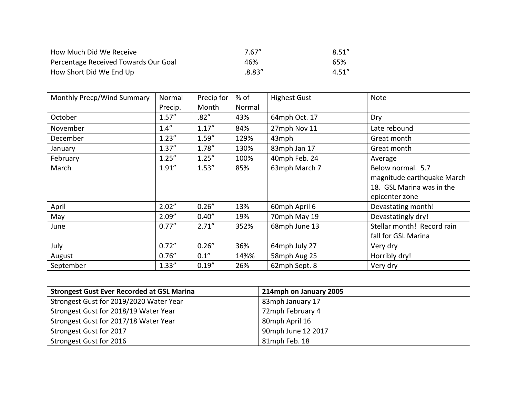| How Much Did We Receive              | /0.67'' | O E 1<br>⊥ ت.ن                     |
|--------------------------------------|---------|------------------------------------|
| Percentage Received Towards Our Goal | 46%     | 65%                                |
| How Short Did We End Up              | .8.83'' | <b>E</b> 1 <sup>11</sup><br>- 4.J± |

| Monthly Precp/Wind Summary | Normal  | Precip for | $%$ of | <b>Highest Gust</b> | <b>Note</b>                |
|----------------------------|---------|------------|--------|---------------------|----------------------------|
|                            | Precip. | Month      | Normal |                     |                            |
| October                    | 1.57''  | .82''      | 43%    | 64mph Oct. 17       | Dry                        |
| November                   | 1.4''   | 1.17''     | 84%    | 27mph Nov 11        | Late rebound               |
| December                   | 1.23''  | 1.59''     | 129%   | 43mph               | Great month                |
| January                    | 1.37''  | 1.78"      | 130%   | 83mph Jan 17        | Great month                |
| February                   | 1.25''  | 1.25''     | 100%   | 40mph Feb. 24       | Average                    |
| March                      | 1.91''  | 1.53''     | 85%    | 63mph March 7       | Below normal. 5.7          |
|                            |         |            |        |                     | magnitude earthquake March |
|                            |         |            |        |                     | 18. GSL Marina was in the  |
|                            |         |            |        |                     | epicenter zone             |
| April                      | 2.02"   | 0.26''     | 13%    | 60mph April 6       | Devastating month!         |
| May                        | 2.09''  | 0.40''     | 19%    | 70mph May 19        | Devastatingly dry!         |
| June                       | 0.77''  | 2.71''     | 352%   | 68mph June 13       | Stellar month! Record rain |
|                            |         |            |        |                     | fall for GSL Marina        |
| July                       | 0.72''  | 0.26''     | 36%    | 64mph July 27       | Very dry                   |
| August                     | 0.76''  | 0.1''      | 14%%   | 58mph Aug 25        | Horribly dry!              |
| September                  | 1.33''  | 0.19''     | 26%    | 62mph Sept. 8       | Very dry                   |

| <b>Strongest Gust Ever Recorded at GSL Marina</b> | 214mph on January 2005 |
|---------------------------------------------------|------------------------|
| Strongest Gust for 2019/2020 Water Year           | 83mph January 17       |
| Strongest Gust for 2018/19 Water Year             | 72mph February 4       |
| Strongest Gust for 2017/18 Water Year             | 80mph April 16         |
| Strongest Gust for 2017                           | 90mph June 12 2017     |
| Strongest Gust for 2016                           | 81mph Feb. 18          |